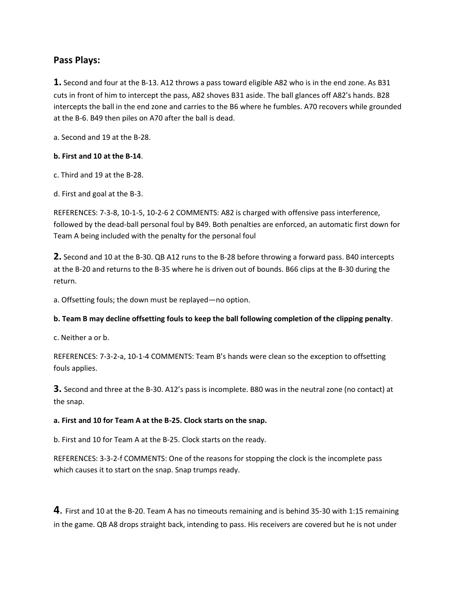# **Pass Plays:**

**1.** Second and four at the B-13. A12 throws a pass toward eligible A82 who is in the end zone. As B31 cuts in front of him to intercept the pass, A82 shoves B31 aside. The ball glances off A82's hands. B28 intercepts the ball in the end zone and carries to the B6 where he fumbles. A70 recovers while grounded at the B-6. B49 then piles on A70 after the ball is dead.

a. Second and 19 at the B-28.

#### **b. First and 10 at the B-14**.

- c. Third and 19 at the B-28.
- d. First and goal at the B-3.

REFERENCES: 7-3-8, 10-1-5, 10-2-6 2 COMMENTS: A82 is charged with offensive pass interference, followed by the dead-ball personal foul by B49. Both penalties are enforced, an automatic first down for Team A being included with the penalty for the personal foul

**2.** Second and 10 at the B-30. QB A12 runs to the B-28 before throwing a forward pass. B40 intercepts at the B-20 and returns to the B-35 where he is driven out of bounds. B66 clips at the B-30 during the return.

a. Offsetting fouls; the down must be replayed—no option.

## **b. Team B may decline offsetting fouls to keep the ball following completion of the clipping penalty**.

c. Neither a or b.

REFERENCES: 7-3-2-a, 10-1-4 COMMENTS: Team B's hands were clean so the exception to offsetting fouls applies.

**3.** Second and three at the B-30. A12's pass is incomplete. B80 was in the neutral zone (no contact) at the snap.

#### **a. First and 10 for Team A at the B-25. Clock starts on the snap.**

b. First and 10 for Team A at the B-25. Clock starts on the ready.

REFERENCES: 3-3-2-f COMMENTS: One of the reasons for stopping the clock is the incomplete pass which causes it to start on the snap. Snap trumps ready.

**4**. First and 10 at the B-20. Team A has no timeouts remaining and is behind 35-30 with 1:15 remaining in the game. QB A8 drops straight back, intending to pass. His receivers are covered but he is not under